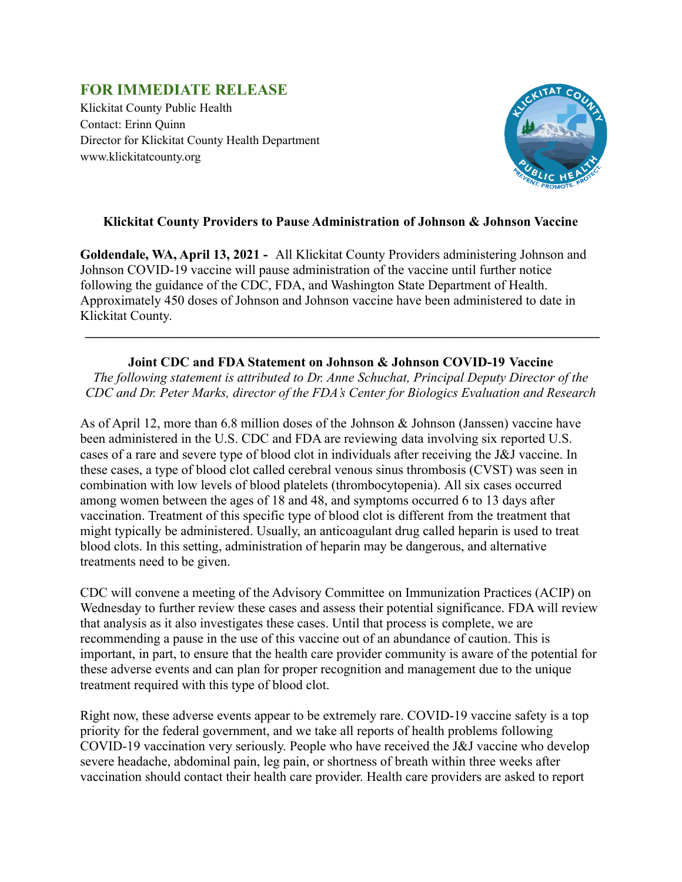## **FOR IMMEDIATE RELEASE**

Klickitat County Public Health Contact: Erinn Quinn Director for Klickitat County Health Department www.klickitatcounty.org



## **Klickitat County Providers to Pause Administration of Johnson & Johnson Vaccine**

**Goldendale, WA, April 13, 2021 -** All Klickitat County Providers administering Johnson and Johnson COVID-19 vaccine will pause administration of the vaccine until further notice following the guidance of the CDC, FDA, and Washington State Department of Health. Approximately 450 doses of Johnson and Johnson vaccine have been administered to date in Klickitat County.

**Joint CDC and FDA Statement on Johnson & Johnson COVID-19 Vaccine** *The following statement is attributed to Dr. Anne Schuchat, Principal Deputy Director of the CDC and Dr. Peter Marks, director of the FDA's Center for Biologics Evaluation and Research*

**\_\_\_\_\_\_\_\_\_\_\_\_\_\_\_\_\_\_\_\_\_\_\_\_\_\_\_\_\_\_\_\_\_\_\_\_\_\_\_\_\_\_\_\_\_\_\_\_\_\_\_\_\_\_\_\_\_\_\_\_\_\_\_\_\_\_\_\_\_\_\_\_\_\_\_\_\_**

As of April 12, more than 6.8 million doses of the Johnson & Johnson (Janssen) vaccine have been administered in the U.S. CDC and FDA are reviewing data involving six reported U.S. cases of a rare and severe type of blood clot in individuals after receiving the J&J vaccine. In these cases, a type of blood clot called cerebral venous sinus thrombosis (CVST) was seen in combination with low levels of blood platelets (thrombocytopenia). All six cases occurred among women between the ages of 18 and 48, and symptoms occurred 6 to 13 days after vaccination. Treatment of this specific type of blood clot is different from the treatment that might typically be administered. Usually, an anticoagulant drug called heparin is used to treat blood clots. In this setting, administration of heparin may be dangerous, and alternative treatments need to be given.

CDC will convene a meeting of the Advisory Committee on Immunization Practices (ACIP) on Wednesday to further review these cases and assess their potential significance. FDA will review that analysis as it also investigates these cases. Until that process is complete, we are recommending a pause in the use of this vaccine out of an abundance of caution. This is important, in part, to ensure that the health care provider community is aware of the potential for these adverse events and can plan for proper recognition and management due to the unique treatment required with this type of blood clot.

Right now, these adverse events appear to be extremely rare. COVID-19 vaccine safety is a top priority for the federal government, and we take all reports of health problems following COVID-19 vaccination very seriously. People who have received the J&J vaccine who develop severe headache, abdominal pain, leg pain, or shortness of breath within three weeks after vaccination should contact their health care provider. Health care providers are asked to report